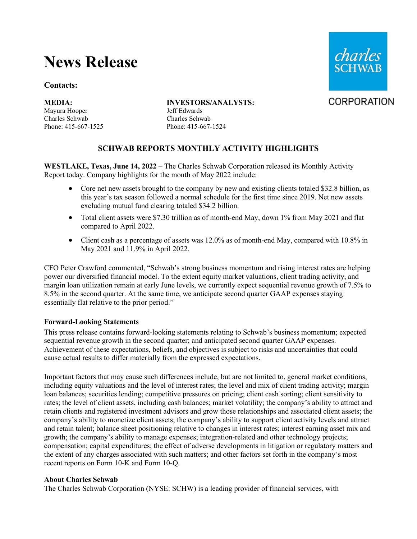# **News Release**

## **Contacts:**

Mayura Hooper Jeff Edwards Charles Schwab Charles Schwab

## **MEDIA: INVESTORS/ANALYSTS:**

Phone: 415-667-1525 Phone: 415-667-1524

## **SCHWAB REPORTS MONTHLY ACTIVITY HIGHLIGHTS**

**WESTLAKE, Texas, June 14, 2022** – The Charles Schwab Corporation released its Monthly Activity Report today. Company highlights for the month of May 2022 include:

- Core net new assets brought to the company by new and existing clients totaled \$32.8 billion, as this year's tax season followed a normal schedule for the first time since 2019. Net new assets excluding mutual fund clearing totaled \$34.2 billion.
- Total client assets were \$7.30 trillion as of month-end May, down 1% from May 2021 and flat compared to April 2022.
- Client cash as a percentage of assets was 12.0% as of month-end May, compared with 10.8% in May 2021 and 11.9% in April 2022.

CFO Peter Crawford commented, "Schwab's strong business momentum and rising interest rates are helping power our diversified financial model. To the extent equity market valuations, client trading activity, and margin loan utilization remain at early June levels, we currently expect sequential revenue growth of 7.5% to 8.5% in the second quarter. At the same time, we anticipate second quarter GAAP expenses staying essentially flat relative to the prior period."

## **Forward-Looking Statements**

This press release contains forward-looking statements relating to Schwab's business momentum; expected sequential revenue growth in the second quarter; and anticipated second quarter GAAP expenses. Achievement of these expectations, beliefs, and objectives is subject to risks and uncertainties that could cause actual results to differ materially from the expressed expectations.

Important factors that may cause such differences include, but are not limited to, general market conditions, including equity valuations and the level of interest rates; the level and mix of client trading activity; margin loan balances; securities lending; competitive pressures on pricing; client cash sorting; client sensitivity to rates; the level of client assets, including cash balances; market volatility; the company's ability to attract and retain clients and registered investment advisors and grow those relationships and associated client assets; the company's ability to monetize client assets; the company's ability to support client activity levels and attract and retain talent; balance sheet positioning relative to changes in interest rates; interest earning asset mix and growth; the company's ability to manage expenses; integration-related and other technology projects; compensation; capital expenditures; the effect of adverse developments in litigation or regulatory matters and the extent of any charges associated with such matters; and other factors set forth in the company's most recent reports on Form 10-K and Form 10-Q.

## **About Charles Schwab**

The Charles Schwab Corporation (NYSE: SCHW) is a leading provider of financial services, with



**CORPORATION**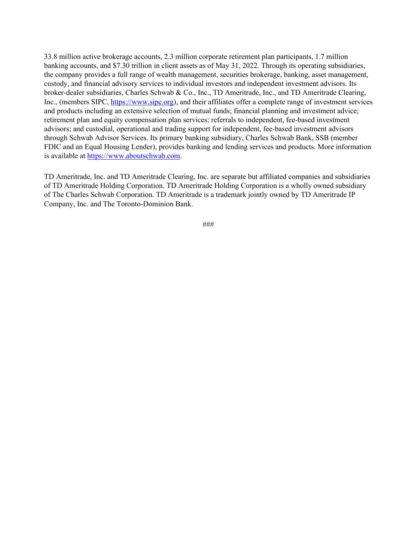33.8 million active brokerage accounts, 2.3 million corporate retirement plan participants, 1.7 million banking accounts, and \$7.30 trillion in client assets as of May 31, 2022. Through its operating subsidiaries, the company provides a full range of wealth management, securities brokerage, banking, asset management, custody, and financial advisory services to individual investors and independent investment advisors. Its broker-dealer subsidiaries, Charles Schwab & Co., Inc., TD Ameritrade, Inc., and TD Ameritrade Clearing, Inc., (members SIPC, [https://www.sipc.org\)](https://www.sipc.org/), and their affiliates offer a complete range of investment services and products including an extensive selection of mutual funds; financial planning and investment advice; retirement plan and equity compensation plan services; referrals to independent, fee-based investment advisors; and custodial, operational and trading support for independent, fee-based investment advisors through Schwab Advisor Services. Its primary banking subsidiary, Charles Schwab Bank, SSB (member FDIC and an Equal Housing Lender), provides banking and lending services and products. More information is available at [https://www.aboutschwab.com.](https://www.aboutschwab.com/)

TD Ameritrade, Inc. and TD Ameritrade Clearing, Inc. are separate but affiliated companies and subsidiaries of TD Ameritrade Holding Corporation. TD Ameritrade Holding Corporation is a wholly owned subsidiary of The Charles Schwab Corporation. TD Ameritrade is a trademark jointly owned by TD Ameritrade IP Company, Inc. and The Toronto-Dominion Bank.

###